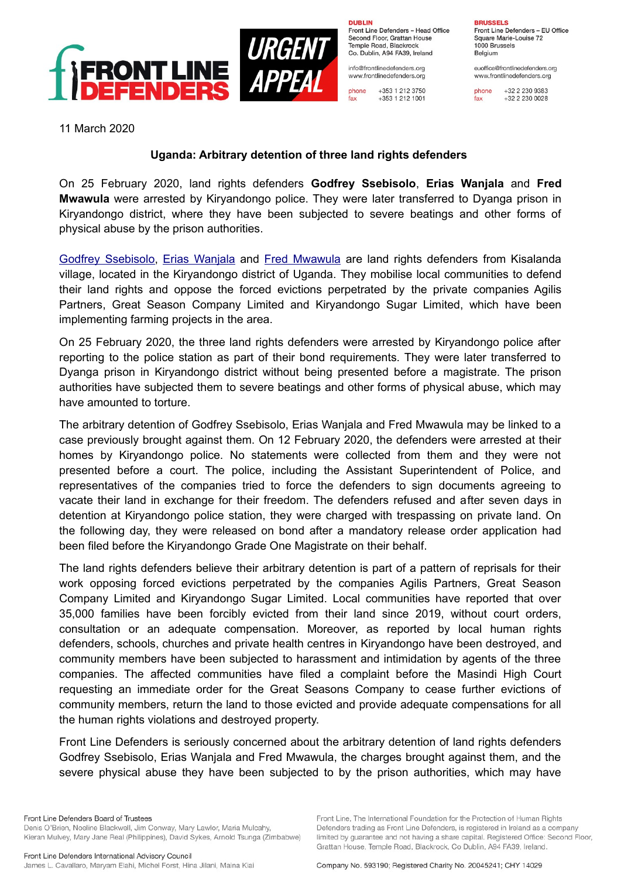

**DURLIN** Front Line Defenders - Head Office Second Floor, Grattan House Temple Boad, Blackrock Co. Dublin, A94 FA39, Ireland

info@frontlinedefenders.org www.frontlinedefenders.org

+353 1 212 3750 phone fax +353 1 212 1001

**BDHCCELC** Front Line Defenders - EU Office Square Marie-Louise 72 1000 Brussels Belgium

euoffice@frontlinedefenders.org www.frontlinedefenders.org

phone +32 2 230 9383  $fax$ +32 2 230 0028

11 March 2020

## **Uganda: Arbitrary detention of three land rights defenders**

On 25 February 2020, land rights defenders **Godfrey Ssebisolo**, **Erias Wanjala** and **Fred Mwawula** were arrested by Kiryandongo police. They were later transferred to Dyanga prison in Kiryandongo district, where they have been subjected to severe beatings and other forms of physical abuse by the prison authorities.

[Godfrey Ssebisolo](https://www.frontlinedefenders.org/en/profile/godfrey-ssebisolo), [Erias Wanjala](https://www.frontlinedefenders.org/en/profile/erias-wanjala) and [Fred Mwawula](https://www.frontlinedefenders.org/en/profile/fred-mwawula) are land rights defenders from Kisalanda village, located in the Kiryandongo district of Uganda. They mobilise local communities to defend their land rights and oppose the forced evictions perpetrated by the private companies Agilis Partners, Great Season Company Limited and Kiryandongo Sugar Limited, which have been implementing farming projects in the area.

On 25 February 2020, the three land rights defenders were arrested by Kiryandongo police after reporting to the police station as part of their bond requirements. They were later transferred to Dyanga prison in Kiryandongo district without being presented before a magistrate. The prison authorities have subjected them to severe beatings and other forms of physical abuse, which may have amounted to torture.

The arbitrary detention of Godfrey Ssebisolo, Erias Wanjala and Fred Mwawula may be linked to a case previously brought against them. On 12 February 2020, the defenders were arrested at their homes by Kiryandongo police. No statements were collected from them and they were not presented before a court. The police, including the Assistant Superintendent of Police, and representatives of the companies tried to force the defenders to sign documents agreeing to vacate their land in exchange for their freedom. The defenders refused and after seven days in detention at Kiryandongo police station, they were charged with trespassing on private land. On the following day, they were released on bond after a mandatory release order application had been filed before the Kiryandongo Grade One Magistrate on their behalf.

The land rights defenders believe their arbitrary detention is part of a pattern of reprisals for their work opposing forced evictions perpetrated by the companies Agilis Partners, Great Season Company Limited and Kiryandongo Sugar Limited. Local communities have reported that over 35,000 families have been forcibly evicted from their land since 2019, without court orders, consultation or an adequate compensation. Moreover, as reported by local human rights defenders, schools, churches and private health centres in Kiryandongo have been destroyed, and community members have been subjected to harassment and intimidation by agents of the three companies. The affected communities have filed a complaint before the Masindi High Court requesting an immediate order for the Great Seasons Company to cease further evictions of community members, return the land to those evicted and provide adequate compensations for all the human rights violations and destroyed property.

Front Line Defenders is seriously concerned about the arbitrary detention of land rights defenders Godfrey Ssebisolo, Erias Wanjala and Fred Mwawula, the charges brought against them, and the severe physical abuse they have been subjected to by the prison authorities, which may have

Front Line. The International Foundation for the Protection of Human Rights

Defenders trading as Front Line Defenders, is registered in Ireland as a company

limited by guarantee and not having a share capital. Registered Office: Second Floor,